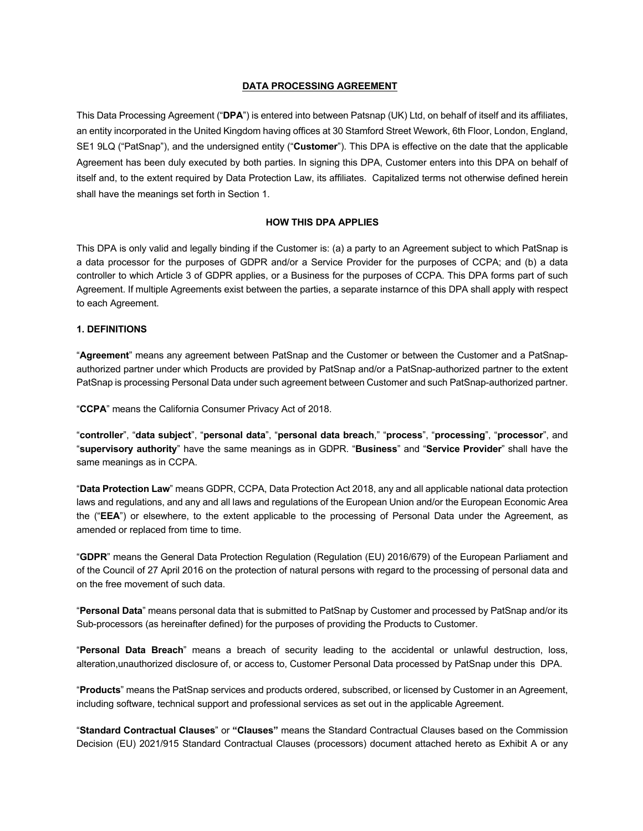#### **DATA PROCESSING AGREEMENT**

This Data Processing Agreement ("**DPA**") is entered into between Patsnap (UK) Ltd, on behalf of itself and its affiliates, an entity incorporated in the United Kingdom having offices at 30 Stamford Street Wework, 6th Floor, London, England, SE1 9LQ ("PatSnap"), and the undersigned entity ("**Customer**"). This DPA is effective on the date that the applicable Agreement has been duly executed by both parties. In signing this DPA, Customer enters into this DPA on behalf of itself and, to the extent required by Data Protection Law, its affiliates. Capitalized terms not otherwise defined herein shall have the meanings set forth in Section 1.

#### **HOW THIS DPA APPLIES**

This DPA is only valid and legally binding if the Customer is: (a) a party to an Agreement subject to which PatSnap is a data processor for the purposes of GDPR and/or a Service Provider for the purposes of CCPA; and (b) a data controller to which Article 3 of GDPR applies, or a Business for the purposes of CCPA. This DPA forms part of such Agreement. If multiple Agreements exist between the parties, a separate instarnce of this DPA shall apply with respect to each Agreement.

#### **1. DEFINITIONS**

"**Agreement**" means any agreement between PatSnap and the Customer or between the Customer and a PatSnapauthorized partner under which Products are provided by PatSnap and/or a PatSnap-authorized partner to the extent PatSnap is processing Personal Data under such agreement between Customer and such PatSnap-authorized partner.

"**CCPA**" means the California Consumer Privacy Act of 2018.

"**controller**", "**data subject**", "**personal data**", "**personal data breach**," "**process**", "**processing**", "**processor**", and "**supervisory authority**" have the same meanings as in GDPR. "**Business**" and "**Service Provider**" shall have the same meanings as in CCPA.

"**Data Protection Law**" means GDPR, CCPA, Data Protection Act 2018, any and all applicable national data protection laws and regulations, and any and all laws and regulations of the European Union and/or the European Economic Area the ("**EEA**") or elsewhere, to the extent applicable to the processing of Personal Data under the Agreement, as amended or replaced from time to time.

"**GDPR**" means the General Data Protection Regulation (Regulation (EU) 2016/679) of the European Parliament and of the Council of 27 April 2016 on the protection of natural persons with regard to the processing of personal data and on the free movement of such data.

"**Personal Data**" means personal data that is submitted to PatSnap by Customer and processed by PatSnap and/or its Sub-processors (as hereinafter defined) for the purposes of providing the Products to Customer.

"**Personal Data Breach**" means a breach of security leading to the accidental or unlawful destruction, loss, alteration,unauthorized disclosure of, or access to, Customer Personal Data processed by PatSnap under this DPA.

"**Products**" means the PatSnap services and products ordered, subscribed, or licensed by Customer in an Agreement, including software, technical support and professional services as set out in the applicable Agreement.

"**Standard Contractual Clauses**" or **"Clauses"** means the Standard Contractual Clauses based on the Commission Decision (EU) 2021/915 Standard Contractual Clauses (processors) document attached hereto as Exhibit A or any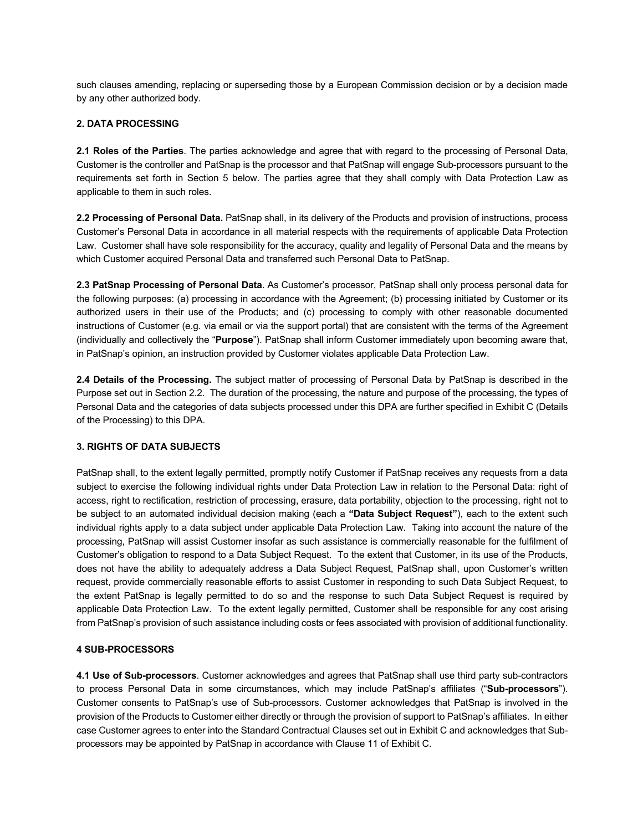such clauses amending, replacing or superseding those by a European Commission decision or by a decision made by any other authorized body.

#### **2. DATA PROCESSING**

**2.1 Roles of the Parties**. The parties acknowledge and agree that with regard to the processing of Personal Data, Customer is the controller and PatSnap is the processor and that PatSnap will engage Sub-processors pursuant to the requirements set forth in Section 5 below. The parties agree that they shall comply with Data Protection Law as applicable to them in such roles.

**2.2 Processing of Personal Data.** PatSnap shall, in its delivery of the Products and provision of instructions, process Customer's Personal Data in accordance in all material respects with the requirements of applicable Data Protection Law. Customer shall have sole responsibility for the accuracy, quality and legality of Personal Data and the means by which Customer acquired Personal Data and transferred such Personal Data to PatSnap.

**2.3 PatSnap Processing of Personal Data**. As Customer's processor, PatSnap shall only process personal data for the following purposes: (a) processing in accordance with the Agreement; (b) processing initiated by Customer or its authorized users in their use of the Products; and (c) processing to comply with other reasonable documented instructions of Customer (e.g. via email or via the support portal) that are consistent with the terms of the Agreement (individually and collectively the "**Purpose**"). PatSnap shall inform Customer immediately upon becoming aware that, in PatSnap's opinion, an instruction provided by Customer violates applicable Data Protection Law.

**2.4 Details of the Processing.** The subject matter of processing of Personal Data by PatSnap is described in the Purpose set out in Section 2.2. The duration of the processing, the nature and purpose of the processing, the types of Personal Data and the categories of data subjects processed under this DPA are further specified in Exhibit C (Details of the Processing) to this DPA.

#### **3. RIGHTS OF DATA SUBJECTS**

PatSnap shall, to the extent legally permitted, promptly notify Customer if PatSnap receives any requests from a data subject to exercise the following individual rights under Data Protection Law in relation to the Personal Data: right of access, right to rectification, restriction of processing, erasure, data portability, objection to the processing, right not to be subject to an automated individual decision making (each a **"Data Subject Request"**), each to the extent such individual rights apply to a data subject under applicable Data Protection Law. Taking into account the nature of the processing, PatSnap will assist Customer insofar as such assistance is commercially reasonable for the fulfilment of Customer's obligation to respond to a Data Subject Request. To the extent that Customer, in its use of the Products, does not have the ability to adequately address a Data Subject Request, PatSnap shall, upon Customer's written request, provide commercially reasonable efforts to assist Customer in responding to such Data Subject Request, to the extent PatSnap is legally permitted to do so and the response to such Data Subject Request is required by applicable Data Protection Law. To the extent legally permitted, Customer shall be responsible for any cost arising from PatSnap's provision of such assistance including costs or fees associated with provision of additional functionality.

#### **4 SUB-PROCESSORS**

**4.1 Use of Sub-processors**. Customer acknowledges and agrees that PatSnap shall use third party sub-contractors to process Personal Data in some circumstances, which may include PatSnap's affiliates ("**Sub-processors**"). Customer consents to PatSnap's use of Sub-processors. Customer acknowledges that PatSnap is involved in the provision of the Products to Customer either directly or through the provision of support to PatSnap's affiliates. In either case Customer agrees to enter into the Standard Contractual Clauses set out in Exhibit C and acknowledges that Subprocessors may be appointed by PatSnap in accordance with Clause 11 of Exhibit C.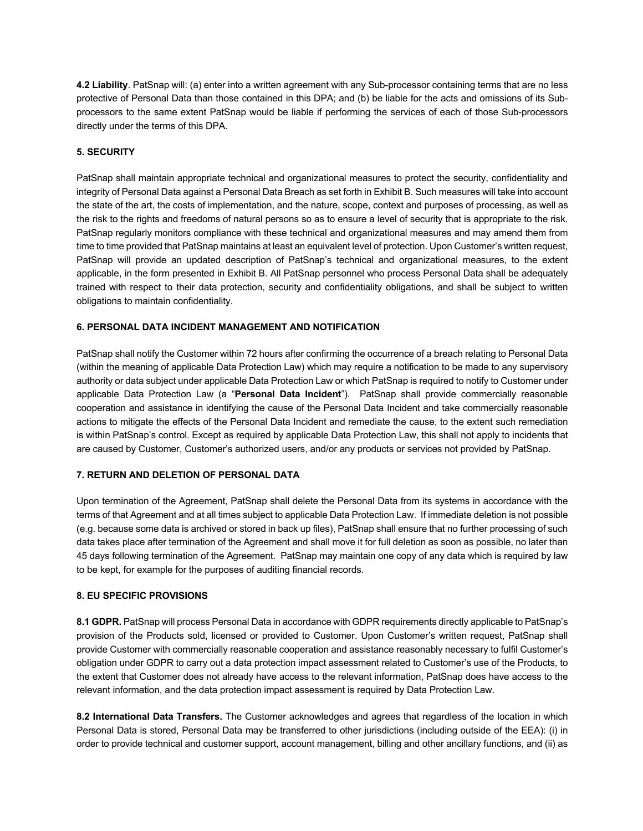**4.2 Liability**. PatSnap will: (a) enter into a written agreement with any Sub-processor containing terms that are no less protective of Personal Data than those contained in this DPA; and (b) be liable for the acts and omissions of its Subprocessors to the same extent PatSnap would be liable if performing the services of each of those Sub-processors directly under the terms of this DPA.

#### **5. SECURITY**

PatSnap shall maintain appropriate technical and organizational measures to protect the security, confidentiality and integrity of Personal Data against a Personal Data Breach as set forth in Exhibit B. Such measures will take into account the state of the art, the costs of implementation, and the nature, scope, context and purposes of processing, as well as the risk to the rights and freedoms of natural persons so as to ensure a level of security that is appropriate to the risk. PatSnap regularly monitors compliance with these technical and organizational measures and may amend them from time to time provided that PatSnap maintains at least an equivalent level of protection. Upon Customer's written request, PatSnap will provide an updated description of PatSnap's technical and organizational measures, to the extent applicable, in the form presented in Exhibit B. All PatSnap personnel who process Personal Data shall be adequately trained with respect to their data protection, security and confidentiality obligations, and shall be subject to written obligations to maintain confidentiality.

#### **6. PERSONAL DATA INCIDENT MANAGEMENT AND NOTIFICATION**

PatSnap shall notify the Customer within 72 hours after confirming the occurrence of a breach relating to Personal Data (within the meaning of applicable Data Protection Law) which may require a notification to be made to any supervisory authority or data subject under applicable Data Protection Law or which PatSnap is required to notify to Customer under applicable Data Protection Law (a "**Personal Data Incident**"). PatSnap shall provide commercially reasonable cooperation and assistance in identifying the cause of the Personal Data Incident and take commercially reasonable actions to mitigate the effects of the Personal Data Incident and remediate the cause, to the extent such remediation is within PatSnap's control. Except as required by applicable Data Protection Law, this shall not apply to incidents that are caused by Customer, Customer's authorized users, and/or any products or services not provided by PatSnap.

#### **7. RETURN AND DELETION OF PERSONAL DATA**

Upon termination of the Agreement, PatSnap shall delete the Personal Data from its systems in accordance with the terms of that Agreement and at all times subject to applicable Data Protection Law. If immediate deletion is not possible (e.g. because some data is archived or stored in back up files), PatSnap shall ensure that no further processing of such data takes place after termination of the Agreement and shall move it for full deletion as soon as possible, no later than 45 days following termination of the Agreement. PatSnap may maintain one copy of any data which is required by law to be kept, for example for the purposes of auditing financial records.

#### **8. EU SPECIFIC PROVISIONS**

**8.1 GDPR.** PatSnap will process Personal Data in accordance with GDPR requirements directly applicable to PatSnap's provision of the Products sold, licensed or provided to Customer. Upon Customer's written request, PatSnap shall provide Customer with commercially reasonable cooperation and assistance reasonably necessary to fulfil Customer's obligation under GDPR to carry out a data protection impact assessment related to Customer's use of the Products, to the extent that Customer does not already have access to the relevant information, PatSnap does have access to the relevant information, and the data protection impact assessment is required by Data Protection Law.

**8.2 International Data Transfers.** The Customer acknowledges and agrees that regardless of the location in which Personal Data is stored, Personal Data may be transferred to other jurisdictions (including outside of the EEA): (i) in order to provide technical and customer support, account management, billing and other ancillary functions, and (ii) as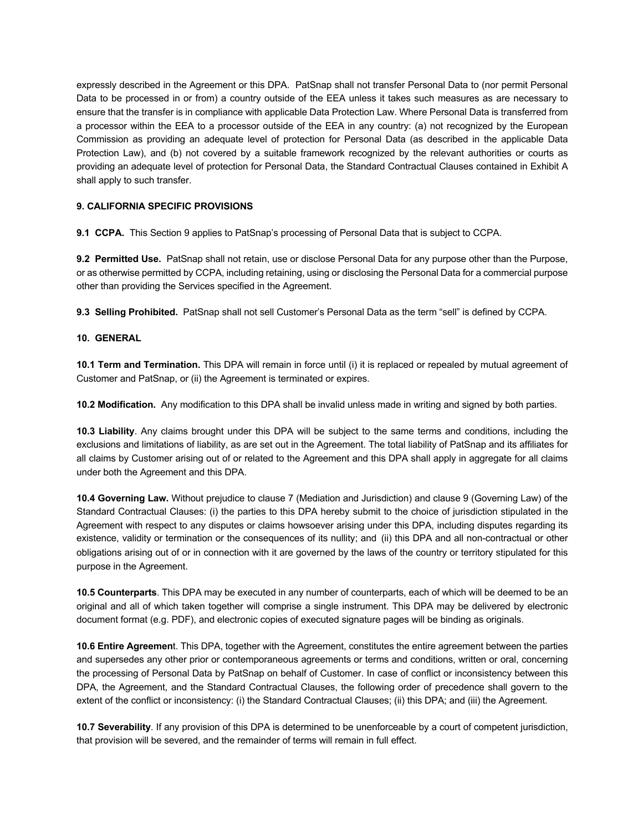expressly described in the Agreement or this DPA. PatSnap shall not transfer Personal Data to (nor permit Personal Data to be processed in or from) a country outside of the EEA unless it takes such measures as are necessary to ensure that the transfer is in compliance with applicable Data Protection Law. Where Personal Data is transferred from a processor within the EEA to a processor outside of the EEA in any country: (a) not recognized by the European Commission as providing an adequate level of protection for Personal Data (as described in the applicable Data Protection Law), and (b) not covered by a suitable framework recognized by the relevant authorities or courts as providing an adequate level of protection for Personal Data, the Standard Contractual Clauses contained in Exhibit A shall apply to such transfer.

#### **9. CALIFORNIA SPECIFIC PROVISIONS**

**9.1 CCPA.** This Section 9 applies to PatSnap's processing of Personal Data that is subject to CCPA.

**9.2 Permitted Use.** PatSnap shall not retain, use or disclose Personal Data for any purpose other than the Purpose, or as otherwise permitted by CCPA, including retaining, using or disclosing the Personal Data for a commercial purpose other than providing the Services specified in the Agreement.

**9.3 Selling Prohibited.** PatSnap shall not sell Customer's Personal Data as the term "sell" is defined by CCPA.

#### **10. GENERAL**

**10.1 Term and Termination.** This DPA will remain in force until (i) it is replaced or repealed by mutual agreement of Customer and PatSnap, or (ii) the Agreement is terminated or expires.

**10.2 Modification.** Any modification to this DPA shall be invalid unless made in writing and signed by both parties.

**10.3 Liability**. Any claims brought under this DPA will be subject to the same terms and conditions, including the exclusions and limitations of liability, as are set out in the Agreement. The total liability of PatSnap and its affiliates for all claims by Customer arising out of or related to the Agreement and this DPA shall apply in aggregate for all claims under both the Agreement and this DPA.

**10.4 Governing Law.** Without prejudice to clause 7 (Mediation and Jurisdiction) and clause 9 (Governing Law) of the Standard Contractual Clauses: (i) the parties to this DPA hereby submit to the choice of jurisdiction stipulated in the Agreement with respect to any disputes or claims howsoever arising under this DPA, including disputes regarding its existence, validity or termination or the consequences of its nullity; and (ii) this DPA and all non-contractual or other obligations arising out of or in connection with it are governed by the laws of the country or territory stipulated for this purpose in the Agreement.

**10.5 Counterparts**. This DPA may be executed in any number of counterparts, each of which will be deemed to be an original and all of which taken together will comprise a single instrument. This DPA may be delivered by electronic document format (e.g. PDF), and electronic copies of executed signature pages will be binding as originals.

**10.6 Entire Agreemen**t. This DPA, together with the Agreement, constitutes the entire agreement between the parties and supersedes any other prior or contemporaneous agreements or terms and conditions, written or oral, concerning the processing of Personal Data by PatSnap on behalf of Customer. In case of conflict or inconsistency between this DPA, the Agreement, and the Standard Contractual Clauses, the following order of precedence shall govern to the extent of the conflict or inconsistency: (i) the Standard Contractual Clauses; (ii) this DPA; and (iii) the Agreement.

**10.7 Severability**. If any provision of this DPA is determined to be unenforceable by a court of competent jurisdiction, that provision will be severed, and the remainder of terms will remain in full effect.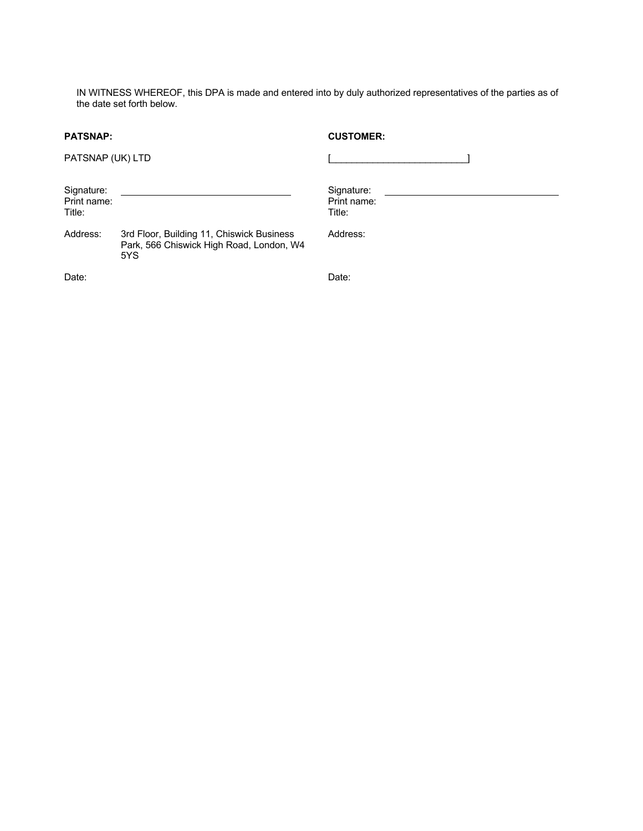IN WITNESS WHEREOF, this DPA is made and entered into by duly authorized representatives of the parties as of the date set forth below.

#### **PATSNAP:**

#### **CUSTOMER:**

PATSNAP (UK) LTD

Signature: Print name: Title:

Address: 3rd Floor, Building 11, Chiswick Business Park, 566 Chiswick High Road, London, W4 5YS

Date:

 $\begin{bmatrix} \begin{array}{ccc} \begin{array}{ccc} \text{1} & \text{1} & \text{1} & \text{1} & \text{1} & \text{1} & \text{1} & \text{1} & \text{1} & \text{1} & \text{1} & \text{1} & \text{1} & \text{1} & \text{1} & \text{1} & \text{1} & \text{1} & \text{1} & \text{1} & \text{1} & \text{1} & \text{1} & \text{1} & \text{1} & \text{1} & \text{1} & \text{1} & \text{1} & \text{1} & \text{1} & \text{1} & \text{1} & \text$ 

Signature: Print name: Title:

Address:

Date: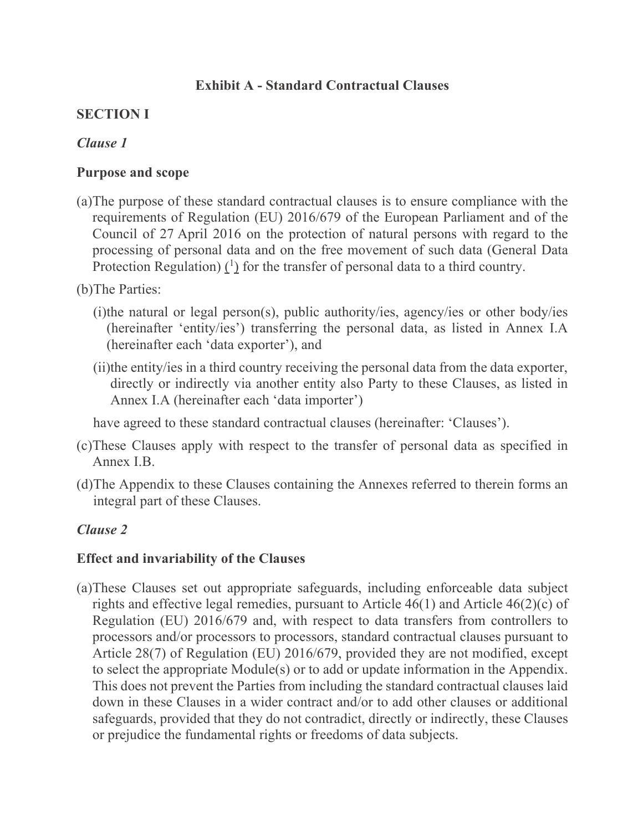## **Exhibit A - Standard Contractual Clauses**

#### **SECTION I**

#### *Clause 1*

#### **Purpose and scope**

- (a)The purpose of these standard contractual clauses is to ensure compliance with the requirements of Regulation (EU) 2016/679 of the European Parliament and of the Council of 27 April 2016 on the protection of natural persons with regard to the processing of personal data and on the free movement of such data (General Data Protection Regulation)  $(1)$  for the transfer of personal data to a third country.
- (b)The Parties:
	- (i)the natural or legal person(s), public authority/ies, agency/ies or other body/ies (hereinafter 'entity/ies') transferring the personal data, as listed in Annex I.A (hereinafter each 'data exporter'), and
	- (ii)the entity/ies in a third country receiving the personal data from the data exporter, directly or indirectly via another entity also Party to these Clauses, as listed in Annex I.A (hereinafter each 'data importer')

have agreed to these standard contractual clauses (hereinafter: 'Clauses').

- (c)These Clauses apply with respect to the transfer of personal data as specified in Annex I.B.
- (d)The Appendix to these Clauses containing the Annexes referred to therein forms an integral part of these Clauses.

### *Clause 2*

### **Effect and invariability of the Clauses**

(a)These Clauses set out appropriate safeguards, including enforceable data subject rights and effective legal remedies, pursuant to Article 46(1) and Article 46(2)(c) of Regulation (EU) 2016/679 and, with respect to data transfers from controllers to processors and/or processors to processors, standard contractual clauses pursuant to Article 28(7) of Regulation (EU) 2016/679, provided they are not modified, except to select the appropriate Module(s) or to add or update information in the Appendix. This does not prevent the Parties from including the standard contractual clauses laid down in these Clauses in a wider contract and/or to add other clauses or additional safeguards, provided that they do not contradict, directly or indirectly, these Clauses or prejudice the fundamental rights or freedoms of data subjects.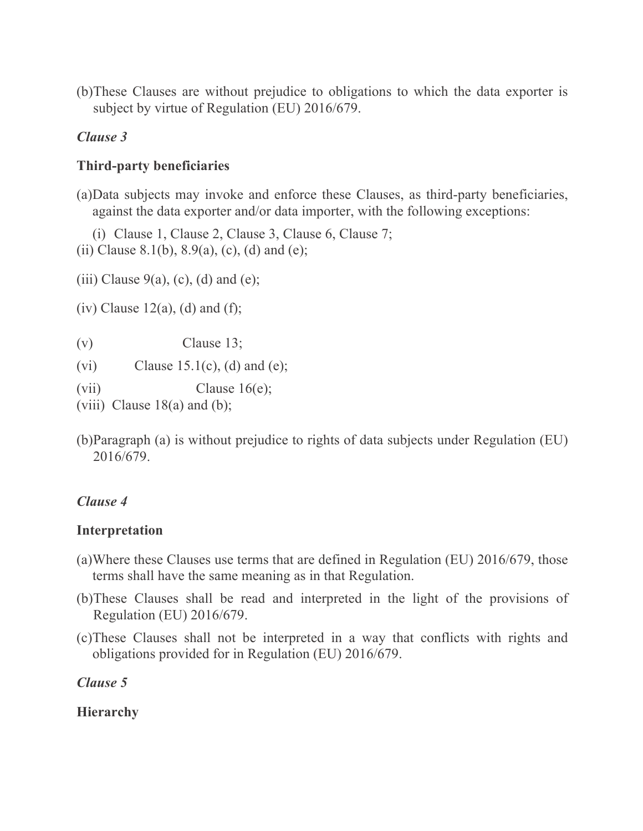(b)These Clauses are without prejudice to obligations to which the data exporter is subject by virtue of Regulation (EU) 2016/679.

## *Clause 3*

# **Third-party beneficiaries**

- (a)Data subjects may invoke and enforce these Clauses, as third-party beneficiaries, against the data exporter and/or data importer, with the following exceptions:
	- (i) Clause 1, Clause 2, Clause 3, Clause 6, Clause 7;
- (ii) Clause 8.1(b), 8.9(a), (c), (d) and (e);
- (iii) Clause  $9(a)$ , (c), (d) and (e);
- (iv) Clause  $12(a)$ , (d) and (f);
- (v) Clause 13;
- (vi) Clause 15.1(c), (d) and (e);
- (vii) Clause 16(e);
- (viii) Clause  $18(a)$  and (b);
- (b)Paragraph (a) is without prejudice to rights of data subjects under Regulation (EU) 2016/679.

# *Clause 4*

# **Interpretation**

- (a)Where these Clauses use terms that are defined in Regulation (EU) 2016/679, those terms shall have the same meaning as in that Regulation.
- (b)These Clauses shall be read and interpreted in the light of the provisions of Regulation (EU) 2016/679.
- (c)These Clauses shall not be interpreted in a way that conflicts with rights and obligations provided for in Regulation (EU) 2016/679.

*Clause 5*

# **Hierarchy**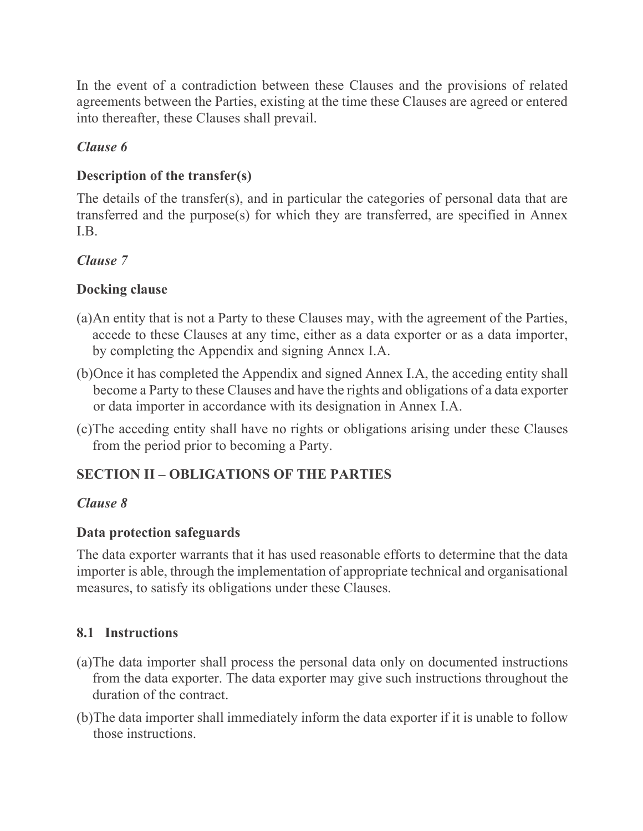In the event of a contradiction between these Clauses and the provisions of related agreements between the Parties, existing at the time these Clauses are agreed or entered into thereafter, these Clauses shall prevail.

# *Clause 6*

# **Description of the transfer(s)**

The details of the transfer(s), and in particular the categories of personal data that are transferred and the purpose(s) for which they are transferred, are specified in Annex I.B.

# *Clause 7*

# **Docking clause**

- (a)An entity that is not a Party to these Clauses may, with the agreement of the Parties, accede to these Clauses at any time, either as a data exporter or as a data importer, by completing the Appendix and signing Annex I.A.
- (b)Once it has completed the Appendix and signed Annex I.A, the acceding entity shall become a Party to these Clauses and have the rights and obligations of a data exporter or data importer in accordance with its designation in Annex I.A.
- (c)The acceding entity shall have no rights or obligations arising under these Clauses from the period prior to becoming a Party.

# **SECTION II – OBLIGATIONS OF THE PARTIES**

# *Clause 8*

# **Data protection safeguards**

The data exporter warrants that it has used reasonable efforts to determine that the data importer is able, through the implementation of appropriate technical and organisational measures, to satisfy its obligations under these Clauses.

# **8.1 Instructions**

- (a)The data importer shall process the personal data only on documented instructions from the data exporter. The data exporter may give such instructions throughout the duration of the contract.
- (b)The data importer shall immediately inform the data exporter if it is unable to follow those instructions.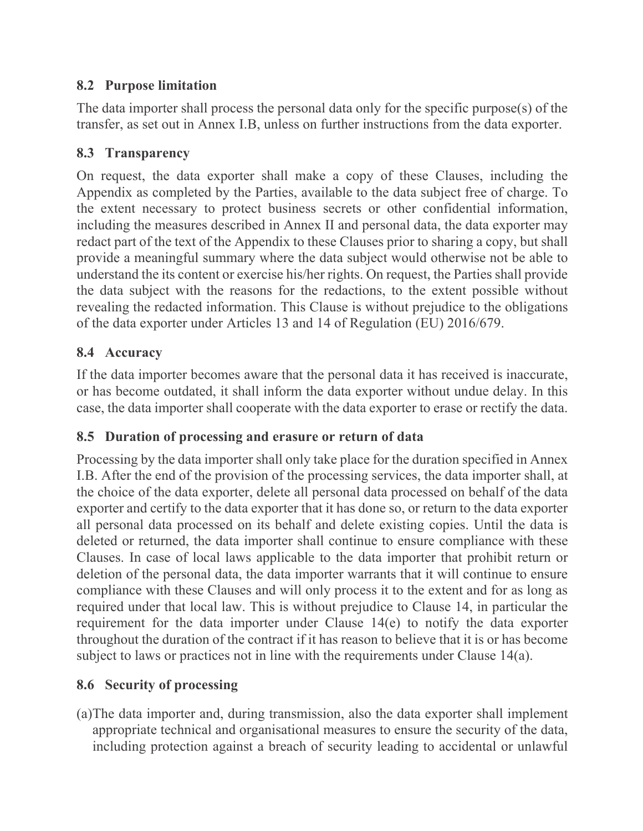# **8.2 Purpose limitation**

The data importer shall process the personal data only for the specific purpose(s) of the transfer, as set out in Annex I.B, unless on further instructions from the data exporter.

### **8.3 Transparency**

On request, the data exporter shall make a copy of these Clauses, including the Appendix as completed by the Parties, available to the data subject free of charge. To the extent necessary to protect business secrets or other confidential information, including the measures described in Annex II and personal data, the data exporter may redact part of the text of the Appendix to these Clauses prior to sharing a copy, but shall provide a meaningful summary where the data subject would otherwise not be able to understand the its content or exercise his/her rights. On request, the Parties shall provide the data subject with the reasons for the redactions, to the extent possible without revealing the redacted information. This Clause is without prejudice to the obligations of the data exporter under Articles 13 and 14 of Regulation (EU) 2016/679.

## **8.4 Accuracy**

If the data importer becomes aware that the personal data it has received is inaccurate, or has become outdated, it shall inform the data exporter without undue delay. In this case, the data importer shall cooperate with the data exporter to erase or rectify the data.

### **8.5 Duration of processing and erasure or return of data**

Processing by the data importer shall only take place for the duration specified in Annex I.B. After the end of the provision of the processing services, the data importer shall, at the choice of the data exporter, delete all personal data processed on behalf of the data exporter and certify to the data exporter that it has done so, or return to the data exporter all personal data processed on its behalf and delete existing copies. Until the data is deleted or returned, the data importer shall continue to ensure compliance with these Clauses. In case of local laws applicable to the data importer that prohibit return or deletion of the personal data, the data importer warrants that it will continue to ensure compliance with these Clauses and will only process it to the extent and for as long as required under that local law. This is without prejudice to Clause 14, in particular the requirement for the data importer under Clause 14(e) to notify the data exporter throughout the duration of the contract if it has reason to believe that it is or has become subject to laws or practices not in line with the requirements under Clause 14(a).

# **8.6 Security of processing**

(a)The data importer and, during transmission, also the data exporter shall implement appropriate technical and organisational measures to ensure the security of the data, including protection against a breach of security leading to accidental or unlawful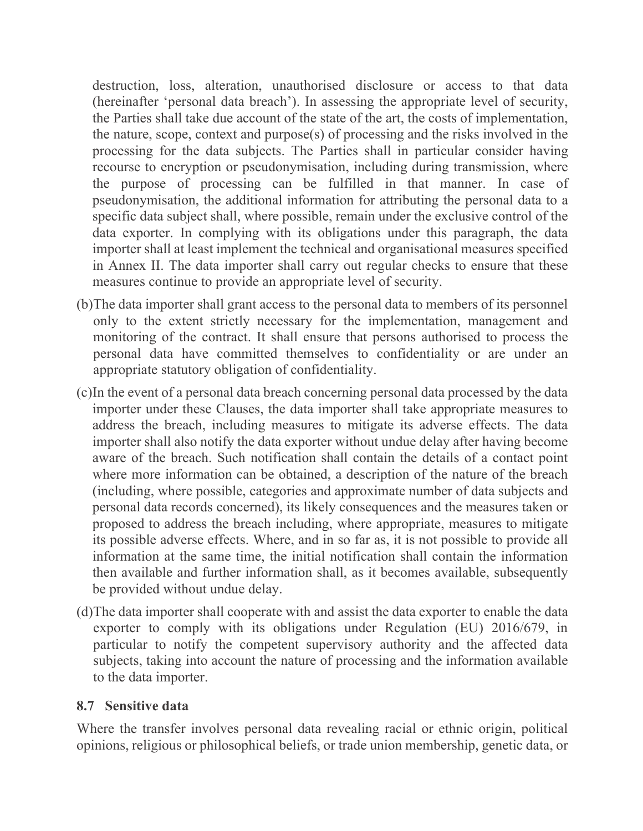destruction, loss, alteration, unauthorised disclosure or access to that data (hereinafter 'personal data breach'). In assessing the appropriate level of security, the Parties shall take due account of the state of the art, the costs of implementation, the nature, scope, context and purpose(s) of processing and the risks involved in the processing for the data subjects. The Parties shall in particular consider having recourse to encryption or pseudonymisation, including during transmission, where the purpose of processing can be fulfilled in that manner. In case of pseudonymisation, the additional information for attributing the personal data to a specific data subject shall, where possible, remain under the exclusive control of the data exporter. In complying with its obligations under this paragraph, the data importer shall at least implement the technical and organisational measures specified in Annex II. The data importer shall carry out regular checks to ensure that these measures continue to provide an appropriate level of security.

- (b)The data importer shall grant access to the personal data to members of its personnel only to the extent strictly necessary for the implementation, management and monitoring of the contract. It shall ensure that persons authorised to process the personal data have committed themselves to confidentiality or are under an appropriate statutory obligation of confidentiality.
- (c)In the event of a personal data breach concerning personal data processed by the data importer under these Clauses, the data importer shall take appropriate measures to address the breach, including measures to mitigate its adverse effects. The data importer shall also notify the data exporter without undue delay after having become aware of the breach. Such notification shall contain the details of a contact point where more information can be obtained, a description of the nature of the breach (including, where possible, categories and approximate number of data subjects and personal data records concerned), its likely consequences and the measures taken or proposed to address the breach including, where appropriate, measures to mitigate its possible adverse effects. Where, and in so far as, it is not possible to provide all information at the same time, the initial notification shall contain the information then available and further information shall, as it becomes available, subsequently be provided without undue delay.
- (d)The data importer shall cooperate with and assist the data exporter to enable the data exporter to comply with its obligations under Regulation (EU) 2016/679, in particular to notify the competent supervisory authority and the affected data subjects, taking into account the nature of processing and the information available to the data importer.

### **8.7 Sensitive data**

Where the transfer involves personal data revealing racial or ethnic origin, political opinions, religious or philosophical beliefs, or trade union membership, genetic data, or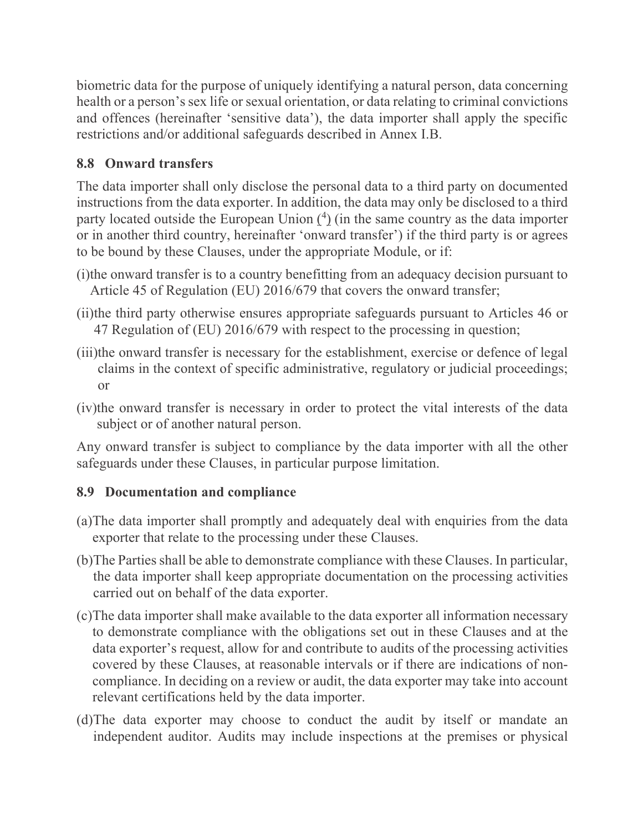biometric data for the purpose of uniquely identifying a natural person, data concerning health or a person's sex life or sexual orientation, or data relating to criminal convictions and offences (hereinafter 'sensitive data'), the data importer shall apply the specific restrictions and/or additional safeguards described in Annex I.B.

# **8.8 Onward transfers**

The data importer shall only disclose the personal data to a third party on documented instructions from the data exporter. In addition, the data may only be disclosed to a third party located outside the European Union  $\binom{4}{1}$  (in the same country as the data importer or in another third country, hereinafter 'onward transfer') if the third party is or agrees to be bound by these Clauses, under the appropriate Module, or if:

- (i)the onward transfer is to a country benefitting from an adequacy decision pursuant to Article 45 of Regulation (EU) 2016/679 that covers the onward transfer;
- (ii)the third party otherwise ensures appropriate safeguards pursuant to Articles 46 or 47 Regulation of (EU) 2016/679 with respect to the processing in question;
- (iii)the onward transfer is necessary for the establishment, exercise or defence of legal claims in the context of specific administrative, regulatory or judicial proceedings; or
- (iv)the onward transfer is necessary in order to protect the vital interests of the data subject or of another natural person.

Any onward transfer is subject to compliance by the data importer with all the other safeguards under these Clauses, in particular purpose limitation.

### **8.9 Documentation and compliance**

- (a)The data importer shall promptly and adequately deal with enquiries from the data exporter that relate to the processing under these Clauses.
- (b)The Parties shall be able to demonstrate compliance with these Clauses. In particular, the data importer shall keep appropriate documentation on the processing activities carried out on behalf of the data exporter.
- (c)The data importer shall make available to the data exporter all information necessary to demonstrate compliance with the obligations set out in these Clauses and at the data exporter's request, allow for and contribute to audits of the processing activities covered by these Clauses, at reasonable intervals or if there are indications of noncompliance. In deciding on a review or audit, the data exporter may take into account relevant certifications held by the data importer.
- (d)The data exporter may choose to conduct the audit by itself or mandate an independent auditor. Audits may include inspections at the premises or physical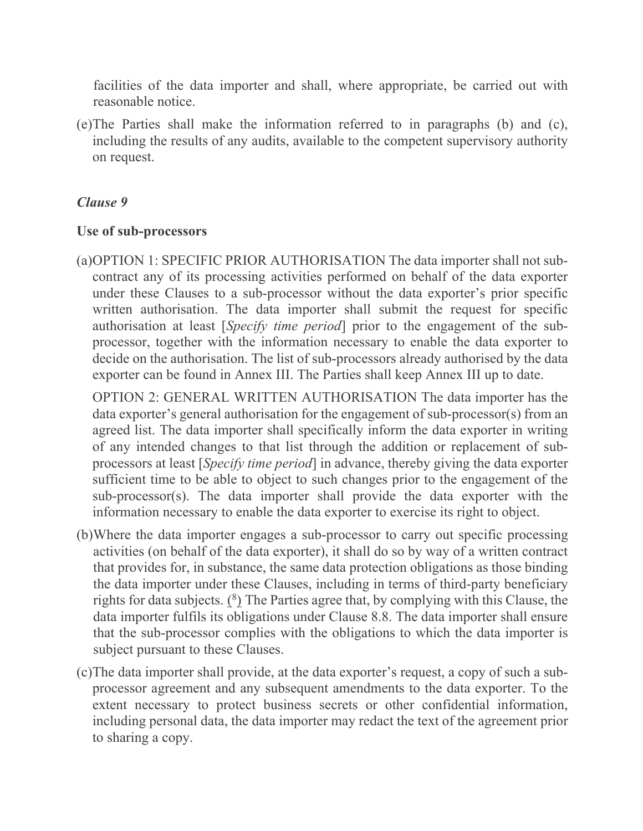facilities of the data importer and shall, where appropriate, be carried out with reasonable notice.

(e)The Parties shall make the information referred to in paragraphs (b) and (c), including the results of any audits, available to the competent supervisory authority on request.

### *Clause 9*

### **Use of sub-processors**

(a)OPTION 1: SPECIFIC PRIOR AUTHORISATION The data importer shall not subcontract any of its processing activities performed on behalf of the data exporter under these Clauses to a sub-processor without the data exporter's prior specific written authorisation. The data importer shall submit the request for specific authorisation at least [*Specify time period*] prior to the engagement of the subprocessor, together with the information necessary to enable the data exporter to decide on the authorisation. The list of sub-processors already authorised by the data exporter can be found in Annex III. The Parties shall keep Annex III up to date.

OPTION 2: GENERAL WRITTEN AUTHORISATION The data importer has the data exporter's general authorisation for the engagement of sub-processor(s) from an agreed list. The data importer shall specifically inform the data exporter in writing of any intended changes to that list through the addition or replacement of subprocessors at least [*Specify time period*] in advance, thereby giving the data exporter sufficient time to be able to object to such changes prior to the engagement of the sub-processor(s). The data importer shall provide the data exporter with the information necessary to enable the data exporter to exercise its right to object.

- (b)Where the data importer engages a sub-processor to carry out specific processing activities (on behalf of the data exporter), it shall do so by way of a written contract that provides for, in substance, the same data protection obligations as those binding the data importer under these Clauses, including in terms of third-party beneficiary rights for data subjects.  $\binom{8}{2}$  The Parties agree that, by complying with this Clause, the data importer fulfils its obligations under Clause 8.8. The data importer shall ensure that the sub-processor complies with the obligations to which the data importer is subject pursuant to these Clauses.
- (c)The data importer shall provide, at the data exporter's request, a copy of such a subprocessor agreement and any subsequent amendments to the data exporter. To the extent necessary to protect business secrets or other confidential information, including personal data, the data importer may redact the text of the agreement prior to sharing a copy.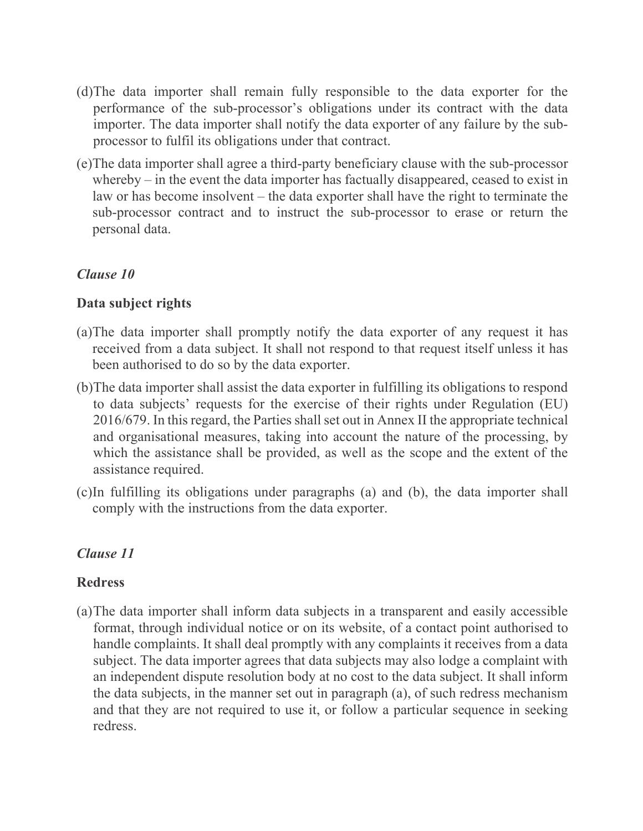- (d)The data importer shall remain fully responsible to the data exporter for the performance of the sub-processor's obligations under its contract with the data importer. The data importer shall notify the data exporter of any failure by the subprocessor to fulfil its obligations under that contract.
- (e)The data importer shall agree a third-party beneficiary clause with the sub-processor whereby – in the event the data importer has factually disappeared, ceased to exist in law or has become insolvent – the data exporter shall have the right to terminate the sub-processor contract and to instruct the sub-processor to erase or return the personal data.

## **Data subject rights**

- (a)The data importer shall promptly notify the data exporter of any request it has received from a data subject. It shall not respond to that request itself unless it has been authorised to do so by the data exporter.
- (b)The data importer shall assist the data exporter in fulfilling its obligations to respond to data subjects' requests for the exercise of their rights under Regulation (EU) 2016/679. In this regard, the Parties shall set out in Annex II the appropriate technical and organisational measures, taking into account the nature of the processing, by which the assistance shall be provided, as well as the scope and the extent of the assistance required.
- (c)In fulfilling its obligations under paragraphs (a) and (b), the data importer shall comply with the instructions from the data exporter.

# *Clause 11*

### **Redress**

(a)The data importer shall inform data subjects in a transparent and easily accessible format, through individual notice or on its website, of a contact point authorised to handle complaints. It shall deal promptly with any complaints it receives from a data subject. The data importer agrees that data subjects may also lodge a complaint with an independent dispute resolution body at no cost to the data subject. It shall inform the data subjects, in the manner set out in paragraph (a), of such redress mechanism and that they are not required to use it, or follow a particular sequence in seeking redress.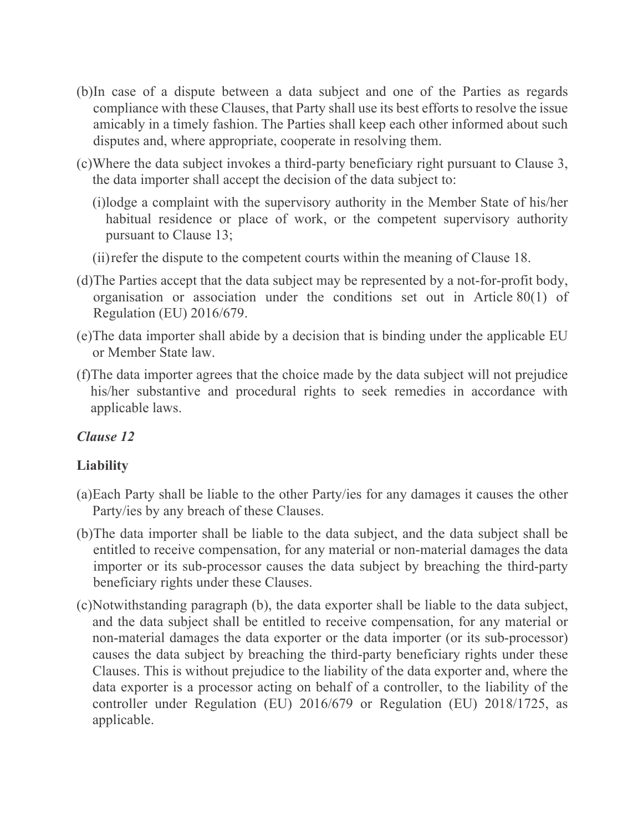- (b)In case of a dispute between a data subject and one of the Parties as regards compliance with these Clauses, that Party shall use its best efforts to resolve the issue amicably in a timely fashion. The Parties shall keep each other informed about such disputes and, where appropriate, cooperate in resolving them.
- (c)Where the data subject invokes a third-party beneficiary right pursuant to Clause 3, the data importer shall accept the decision of the data subject to:
	- (i)lodge a complaint with the supervisory authority in the Member State of his/her habitual residence or place of work, or the competent supervisory authority pursuant to Clause 13;
	- (ii)refer the dispute to the competent courts within the meaning of Clause 18.
- (d)The Parties accept that the data subject may be represented by a not-for-profit body, organisation or association under the conditions set out in Article 80(1) of Regulation (EU) 2016/679.
- (e)The data importer shall abide by a decision that is binding under the applicable EU or Member State law.
- (f)The data importer agrees that the choice made by the data subject will not prejudice his/her substantive and procedural rights to seek remedies in accordance with applicable laws.

# **Liability**

- (a)Each Party shall be liable to the other Party/ies for any damages it causes the other Party/ies by any breach of these Clauses.
- (b)The data importer shall be liable to the data subject, and the data subject shall be entitled to receive compensation, for any material or non-material damages the data importer or its sub-processor causes the data subject by breaching the third-party beneficiary rights under these Clauses.
- (c)Notwithstanding paragraph (b), the data exporter shall be liable to the data subject, and the data subject shall be entitled to receive compensation, for any material or non-material damages the data exporter or the data importer (or its sub-processor) causes the data subject by breaching the third-party beneficiary rights under these Clauses. This is without prejudice to the liability of the data exporter and, where the data exporter is a processor acting on behalf of a controller, to the liability of the controller under Regulation (EU) 2016/679 or Regulation (EU) 2018/1725, as applicable.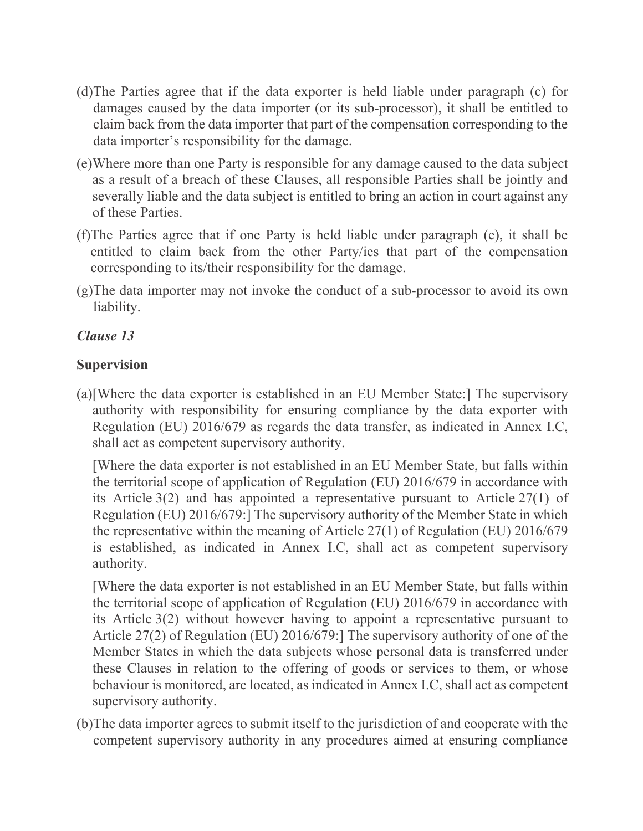- (d)The Parties agree that if the data exporter is held liable under paragraph (c) for damages caused by the data importer (or its sub-processor), it shall be entitled to claim back from the data importer that part of the compensation corresponding to the data importer's responsibility for the damage.
- (e)Where more than one Party is responsible for any damage caused to the data subject as a result of a breach of these Clauses, all responsible Parties shall be jointly and severally liable and the data subject is entitled to bring an action in court against any of these Parties.
- (f)The Parties agree that if one Party is held liable under paragraph (e), it shall be entitled to claim back from the other Party/ies that part of the compensation corresponding to its/their responsibility for the damage.
- (g)The data importer may not invoke the conduct of a sub-processor to avoid its own liability.

## **Supervision**

(a)[Where the data exporter is established in an EU Member State:] The supervisory authority with responsibility for ensuring compliance by the data exporter with Regulation (EU) 2016/679 as regards the data transfer, as indicated in Annex I.C, shall act as competent supervisory authority.

[Where the data exporter is not established in an EU Member State, but falls within the territorial scope of application of Regulation (EU) 2016/679 in accordance with its Article 3(2) and has appointed a representative pursuant to Article 27(1) of Regulation (EU) 2016/679:] The supervisory authority of the Member State in which the representative within the meaning of Article 27(1) of Regulation (EU) 2016/679 is established, as indicated in Annex I.C, shall act as competent supervisory authority.

[Where the data exporter is not established in an EU Member State, but falls within the territorial scope of application of Regulation (EU) 2016/679 in accordance with its Article 3(2) without however having to appoint a representative pursuant to Article 27(2) of Regulation (EU) 2016/679:] The supervisory authority of one of the Member States in which the data subjects whose personal data is transferred under these Clauses in relation to the offering of goods or services to them, or whose behaviour is monitored, are located, as indicated in Annex I.C, shall act as competent supervisory authority.

(b)The data importer agrees to submit itself to the jurisdiction of and cooperate with the competent supervisory authority in any procedures aimed at ensuring compliance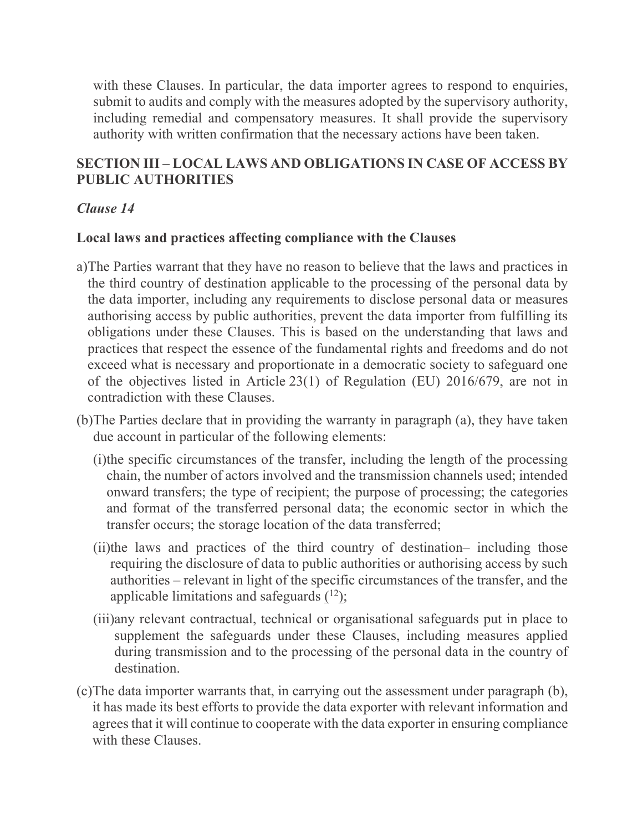with these Clauses. In particular, the data importer agrees to respond to enquiries, submit to audits and comply with the measures adopted by the supervisory authority, including remedial and compensatory measures. It shall provide the supervisory authority with written confirmation that the necessary actions have been taken.

#### **SECTION III – LOCAL LAWS AND OBLIGATIONS IN CASE OF ACCESS BY PUBLIC AUTHORITIES**

#### *Clause 14*

#### **Local laws and practices affecting compliance with the Clauses**

- a)The Parties warrant that they have no reason to believe that the laws and practices in the third country of destination applicable to the processing of the personal data by the data importer, including any requirements to disclose personal data or measures authorising access by public authorities, prevent the data importer from fulfilling its obligations under these Clauses. This is based on the understanding that laws and practices that respect the essence of the fundamental rights and freedoms and do not exceed what is necessary and proportionate in a democratic society to safeguard one of the objectives listed in Article 23(1) of Regulation (EU) 2016/679, are not in contradiction with these Clauses.
- (b)The Parties declare that in providing the warranty in paragraph (a), they have taken due account in particular of the following elements:
	- (i)the specific circumstances of the transfer, including the length of the processing chain, the number of actors involved and the transmission channels used; intended onward transfers; the type of recipient; the purpose of processing; the categories and format of the transferred personal data; the economic sector in which the transfer occurs; the storage location of the data transferred;
	- (ii)the laws and practices of the third country of destination– including those requiring the disclosure of data to public authorities or authorising access by such authorities – relevant in light of the specific circumstances of the transfer, and the applicable limitations and safeguards  $(^{12})$ ;
	- (iii)any relevant contractual, technical or organisational safeguards put in place to supplement the safeguards under these Clauses, including measures applied during transmission and to the processing of the personal data in the country of destination.
- (c)The data importer warrants that, in carrying out the assessment under paragraph (b), it has made its best efforts to provide the data exporter with relevant information and agrees that it will continue to cooperate with the data exporter in ensuring compliance with these Clauses.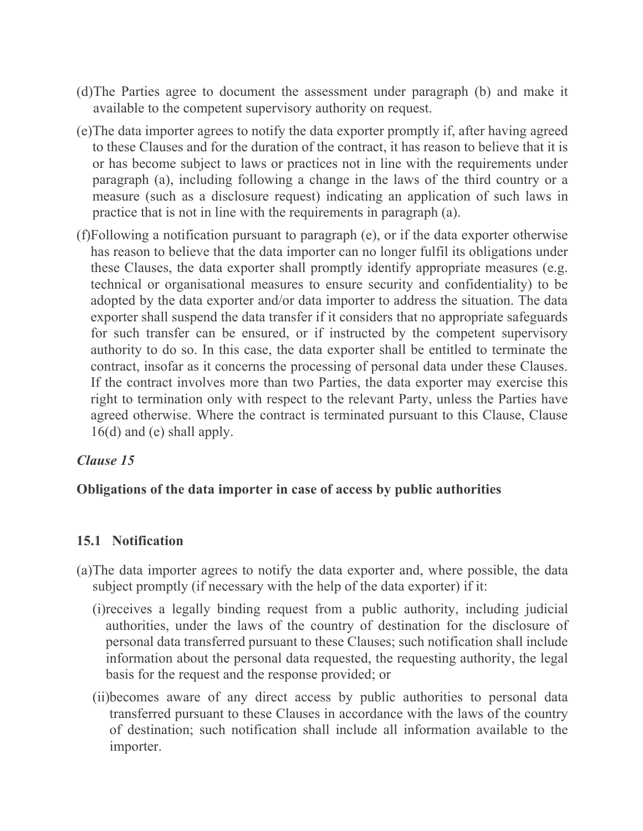- (d)The Parties agree to document the assessment under paragraph (b) and make it available to the competent supervisory authority on request.
- (e)The data importer agrees to notify the data exporter promptly if, after having agreed to these Clauses and for the duration of the contract, it has reason to believe that it is or has become subject to laws or practices not in line with the requirements under paragraph (a), including following a change in the laws of the third country or a measure (such as a disclosure request) indicating an application of such laws in practice that is not in line with the requirements in paragraph (a).
- (f)Following a notification pursuant to paragraph (e), or if the data exporter otherwise has reason to believe that the data importer can no longer fulfil its obligations under these Clauses, the data exporter shall promptly identify appropriate measures (e.g. technical or organisational measures to ensure security and confidentiality) to be adopted by the data exporter and/or data importer to address the situation. The data exporter shall suspend the data transfer if it considers that no appropriate safeguards for such transfer can be ensured, or if instructed by the competent supervisory authority to do so. In this case, the data exporter shall be entitled to terminate the contract, insofar as it concerns the processing of personal data under these Clauses. If the contract involves more than two Parties, the data exporter may exercise this right to termination only with respect to the relevant Party, unless the Parties have agreed otherwise. Where the contract is terminated pursuant to this Clause, Clause 16(d) and (e) shall apply.

### **Obligations of the data importer in case of access by public authorities**

#### **15.1 Notification**

- (a)The data importer agrees to notify the data exporter and, where possible, the data subject promptly (if necessary with the help of the data exporter) if it:
	- (i)receives a legally binding request from a public authority, including judicial authorities, under the laws of the country of destination for the disclosure of personal data transferred pursuant to these Clauses; such notification shall include information about the personal data requested, the requesting authority, the legal basis for the request and the response provided; or
	- (ii)becomes aware of any direct access by public authorities to personal data transferred pursuant to these Clauses in accordance with the laws of the country of destination; such notification shall include all information available to the importer.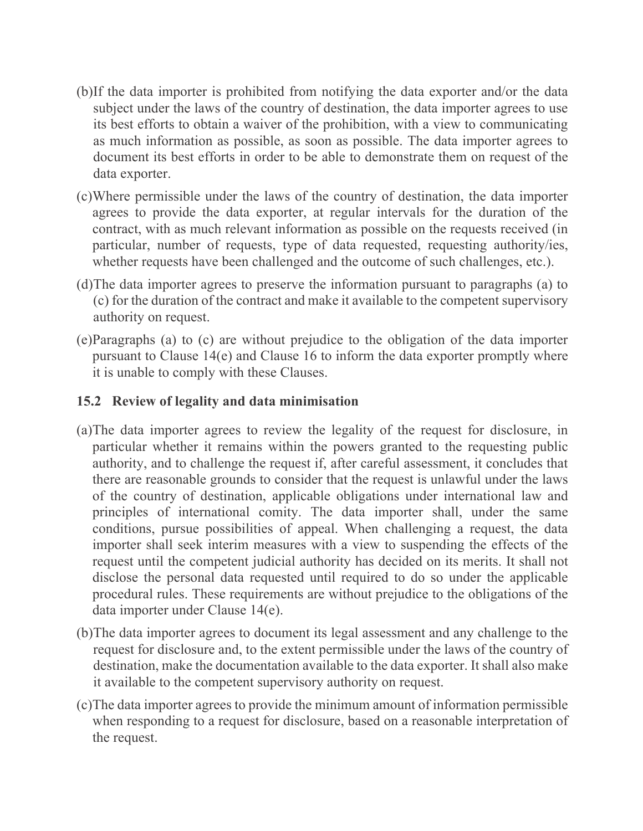- (b)If the data importer is prohibited from notifying the data exporter and/or the data subject under the laws of the country of destination, the data importer agrees to use its best efforts to obtain a waiver of the prohibition, with a view to communicating as much information as possible, as soon as possible. The data importer agrees to document its best efforts in order to be able to demonstrate them on request of the data exporter.
- (c)Where permissible under the laws of the country of destination, the data importer agrees to provide the data exporter, at regular intervals for the duration of the contract, with as much relevant information as possible on the requests received (in particular, number of requests, type of data requested, requesting authority/ies, whether requests have been challenged and the outcome of such challenges, etc.).
- (d)The data importer agrees to preserve the information pursuant to paragraphs (a) to (c) for the duration of the contract and make it available to the competent supervisory authority on request.
- (e)Paragraphs (a) to (c) are without prejudice to the obligation of the data importer pursuant to Clause 14(e) and Clause 16 to inform the data exporter promptly where it is unable to comply with these Clauses.

### **15.2 Review of legality and data minimisation**

- (a)The data importer agrees to review the legality of the request for disclosure, in particular whether it remains within the powers granted to the requesting public authority, and to challenge the request if, after careful assessment, it concludes that there are reasonable grounds to consider that the request is unlawful under the laws of the country of destination, applicable obligations under international law and principles of international comity. The data importer shall, under the same conditions, pursue possibilities of appeal. When challenging a request, the data importer shall seek interim measures with a view to suspending the effects of the request until the competent judicial authority has decided on its merits. It shall not disclose the personal data requested until required to do so under the applicable procedural rules. These requirements are without prejudice to the obligations of the data importer under Clause 14(e).
- (b)The data importer agrees to document its legal assessment and any challenge to the request for disclosure and, to the extent permissible under the laws of the country of destination, make the documentation available to the data exporter. It shall also make it available to the competent supervisory authority on request.
- (c)The data importer agrees to provide the minimum amount of information permissible when responding to a request for disclosure, based on a reasonable interpretation of the request.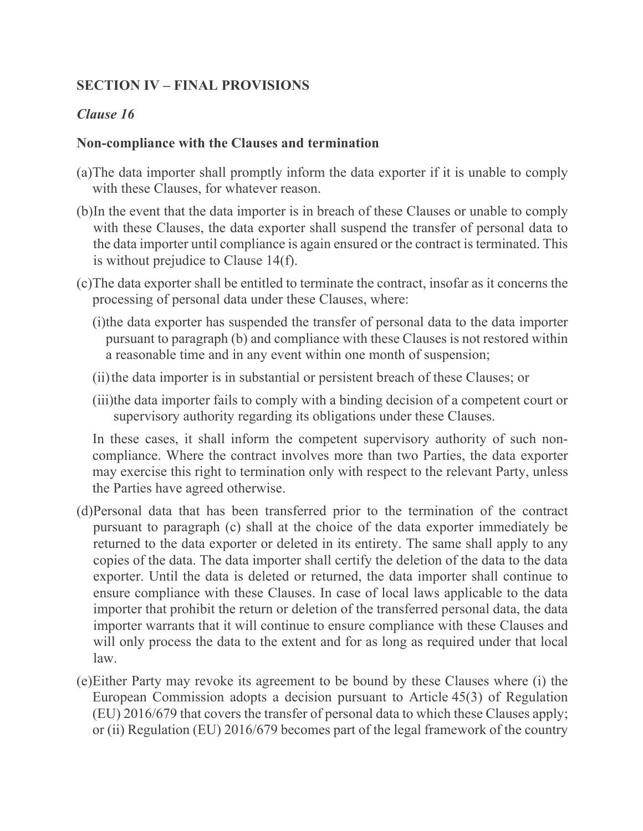## **SECTION IV – FINAL PROVISIONS**

### *Clause 16*

#### **Non-compliance with the Clauses and termination**

- (a)The data importer shall promptly inform the data exporter if it is unable to comply with these Clauses, for whatever reason.
- (b)In the event that the data importer is in breach of these Clauses or unable to comply with these Clauses, the data exporter shall suspend the transfer of personal data to the data importer until compliance is again ensured or the contract is terminated. This is without prejudice to Clause 14(f).
- (c)The data exporter shall be entitled to terminate the contract, insofar as it concerns the processing of personal data under these Clauses, where:
	- (i)the data exporter has suspended the transfer of personal data to the data importer pursuant to paragraph (b) and compliance with these Clauses is not restored within a reasonable time and in any event within one month of suspension;
	- (ii) the data importer is in substantial or persistent breach of these Clauses; or
	- (iii)the data importer fails to comply with a binding decision of a competent court or supervisory authority regarding its obligations under these Clauses.

In these cases, it shall inform the competent supervisory authority of such noncompliance. Where the contract involves more than two Parties, the data exporter may exercise this right to termination only with respect to the relevant Party, unless the Parties have agreed otherwise.

- (d)Personal data that has been transferred prior to the termination of the contract pursuant to paragraph (c) shall at the choice of the data exporter immediately be returned to the data exporter or deleted in its entirety. The same shall apply to any copies of the data. The data importer shall certify the deletion of the data to the data exporter. Until the data is deleted or returned, the data importer shall continue to ensure compliance with these Clauses. In case of local laws applicable to the data importer that prohibit the return or deletion of the transferred personal data, the data importer warrants that it will continue to ensure compliance with these Clauses and will only process the data to the extent and for as long as required under that local law.
- (e)Either Party may revoke its agreement to be bound by these Clauses where (i) the European Commission adopts a decision pursuant to Article 45(3) of Regulation (EU) 2016/679 that covers the transfer of personal data to which these Clauses apply; or (ii) Regulation (EU) 2016/679 becomes part of the legal framework of the country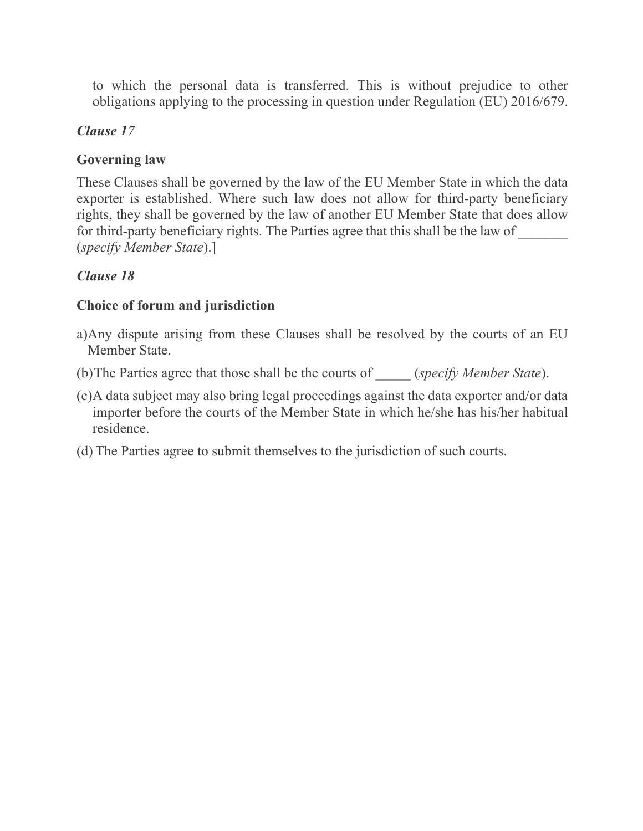to which the personal data is transferred. This is without prejudice to other obligations applying to the processing in question under Regulation (EU) 2016/679.

### *Clause 17*

#### **Governing law**

These Clauses shall be governed by the law of the EU Member State in which the data exporter is established. Where such law does not allow for third-party beneficiary rights, they shall be governed by the law of another EU Member State that does allow for third-party beneficiary rights. The Parties agree that this shall be the law of (*specify Member State*).]

### *Clause 18*

### **Choice of forum and jurisdiction**

- a)Any dispute arising from these Clauses shall be resolved by the courts of an EU Member State.
- (b)The Parties agree that those shall be the courts of \_\_\_\_\_ (*specify Member State*).
- (c)A data subject may also bring legal proceedings against the data exporter and/or data importer before the courts of the Member State in which he/she has his/her habitual residence.
- (d) The Parties agree to submit themselves to the jurisdiction of such courts.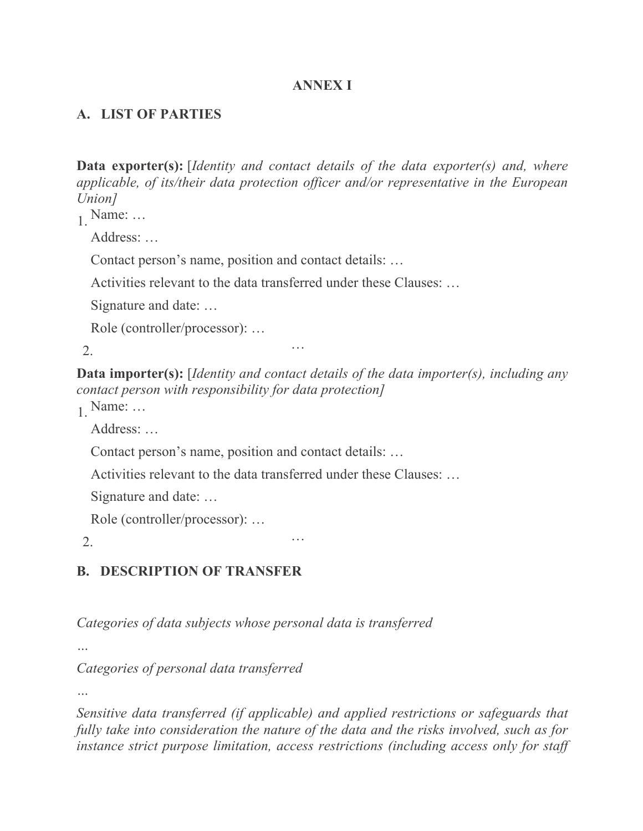## **ANNEX I**

## **A. LIST OF PARTIES**

**Data exporter(s):** [*Identity and contact details of the data exporter(s) and, where applicable, of its/their data protection officer and/or representative in the European Union]*

1. Name: …

Address: …

Contact person's name, position and contact details: …

Activities relevant to the data transferred under these Clauses: …

Signature and date: …

Role (controller/processor): …

 $2.$   $\cdots$ 

**Data importer(s):** [*Identity and contact details of the data importer(s), including any contact person with responsibility for data protection]*

1. Name: …

Address: …

Contact person's name, position and contact details: …

Activities relevant to the data transferred under these Clauses: …

Signature and date: …

Role (controller/processor): …

 $2.$   $\cdots$ 

# **B. DESCRIPTION OF TRANSFER**

*Categories of data subjects whose personal data is transferred*

*…*

*Categories of personal data transferred*

*…*

*Sensitive data transferred (if applicable) and applied restrictions or safeguards that fully take into consideration the nature of the data and the risks involved, such as for instance strict purpose limitation, access restrictions (including access only for staff*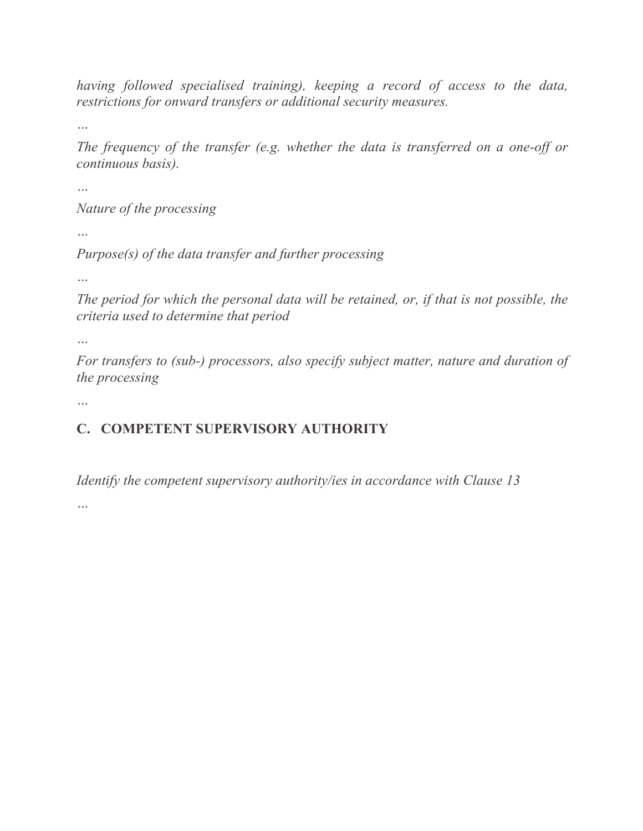*having followed specialised training), keeping a record of access to the data, restrictions for onward transfers or additional security measures.*

*…*

*The frequency of the transfer (e.g. whether the data is transferred on a one-off or continuous basis).*

*…*

*Nature of the processing*

*…*

*Purpose(s) of the data transfer and further processing*

*…*

*The period for which the personal data will be retained, or, if that is not possible, the criteria used to determine that period*

*…*

*For transfers to (sub-) processors, also specify subject matter, nature and duration of the processing*

*…*

# **C. COMPETENT SUPERVISORY AUTHORITY**

*Identify the competent supervisory authority/ies in accordance with Clause 13*

*…*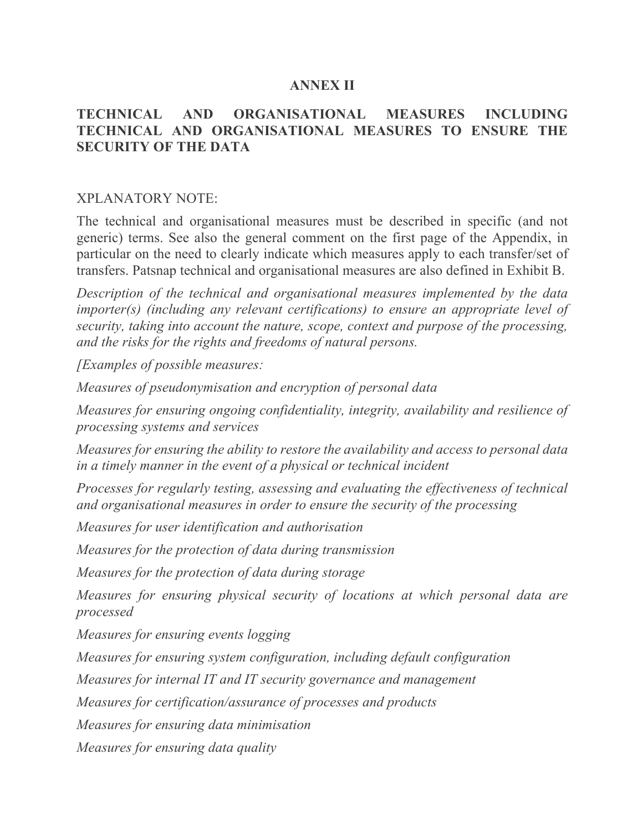#### **ANNEX II**

#### **TECHNICAL AND ORGANISATIONAL MEASURES INCLUDING TECHNICAL AND ORGANISATIONAL MEASURES TO ENSURE THE SECURITY OF THE DATA**

#### XPLANATORY NOTE:

The technical and organisational measures must be described in specific (and not generic) terms. See also the general comment on the first page of the Appendix, in particular on the need to clearly indicate which measures apply to each transfer/set of transfers. Patsnap technical and organisational measures are also defined in Exhibit B.

*Description of the technical and organisational measures implemented by the data importer(s) (including any relevant certifications) to ensure an appropriate level of security, taking into account the nature, scope, context and purpose of the processing, and the risks for the rights and freedoms of natural persons.*

*[Examples of possible measures:*

*Measures of pseudonymisation and encryption of personal data*

*Measures for ensuring ongoing confidentiality, integrity, availability and resilience of processing systems and services*

*Measures for ensuring the ability to restore the availability and access to personal data in a timely manner in the event of a physical or technical incident*

*Processes for regularly testing, assessing and evaluating the effectiveness of technical and organisational measures in order to ensure the security of the processing*

*Measures for user identification and authorisation*

*Measures for the protection of data during transmission*

*Measures for the protection of data during storage*

*Measures for ensuring physical security of locations at which personal data are processed*

*Measures for ensuring events logging*

*Measures for ensuring system configuration, including default configuration*

*Measures for internal IT and IT security governance and management*

*Measures for certification/assurance of processes and products*

*Measures for ensuring data minimisation*

*Measures for ensuring data quality*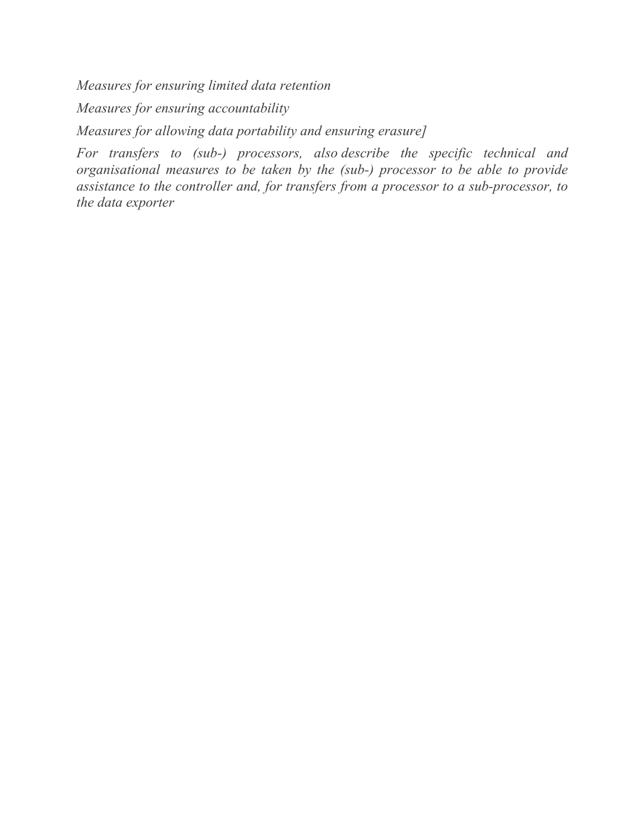*Measures for ensuring limited data retention*

*Measures for ensuring accountability*

*Measures for allowing data portability and ensuring erasure]*

*For transfers to (sub-) processors, also describe the specific technical and organisational measures to be taken by the (sub-) processor to be able to provide assistance to the controller and, for transfers from a processor to a sub-processor, to the data exporter*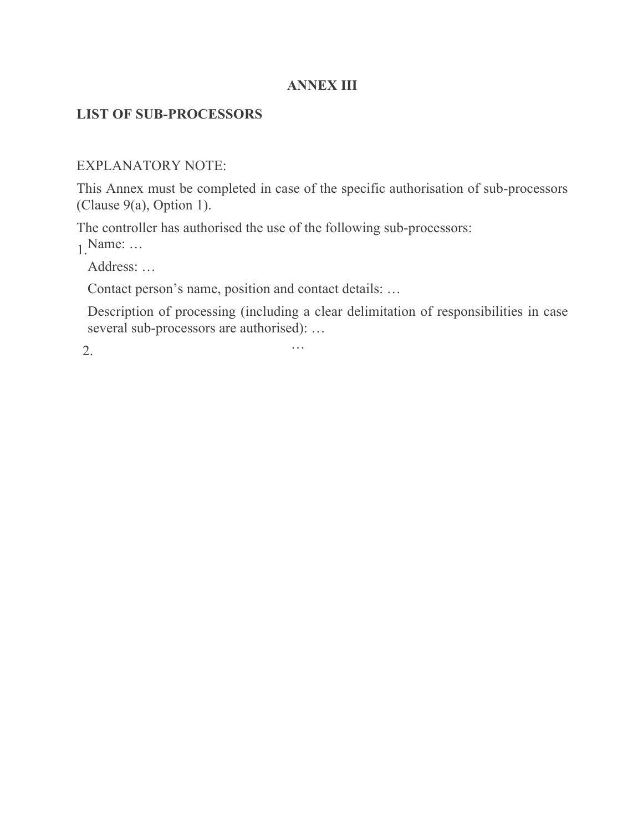### **ANNEX III**

#### **LIST OF SUB-PROCESSORS**

#### EXPLANATORY NOTE:

This Annex must be completed in case of the specific authorisation of sub-processors (Clause 9(a), Option 1).

The controller has authorised the use of the following sub-processors:

1.Name: …

Address: …

Contact person's name, position and contact details: …

Description of processing (including a clear delimitation of responsibilities in case several sub-processors are authorised): …

 $2.$   $\cdots$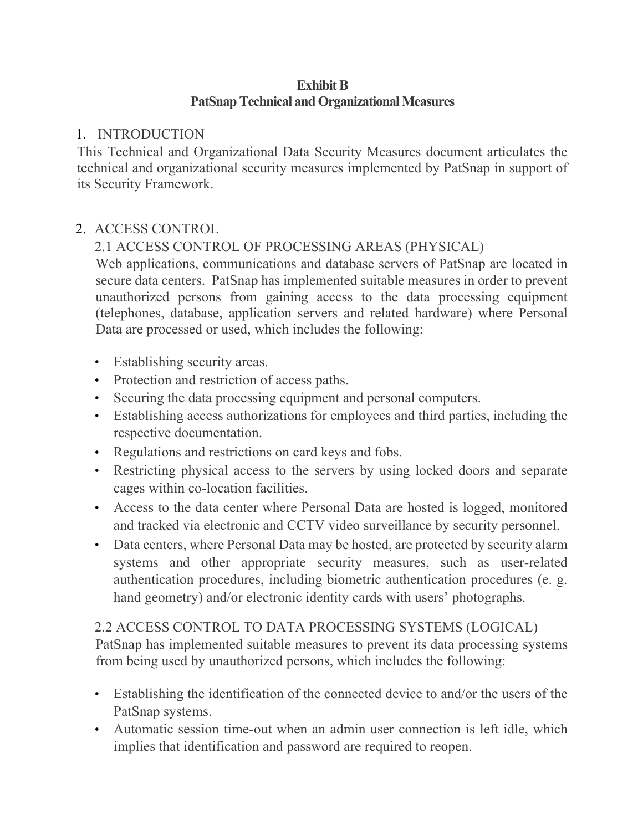## **Exhibit B PatSnapTechnical and Organizational Measures**

### 1. INTRODUCTION

This Technical and Organizational Data Security Measures document articulates the technical and organizational security measures implemented by PatSnap in support of its Security Framework.

### 2. ACCESS CONTROL

# 2.1 ACCESS CONTROL OF PROCESSING AREAS (PHYSICAL)

Web applications, communications and database servers of PatSnap are located in secure data centers. PatSnap has implemented suitable measures in order to prevent unauthorized persons from gaining access to the data processing equipment (telephones, database, application servers and related hardware) where Personal Data are processed or used, which includes the following:

- Establishing security areas.
- Protection and restriction of access paths.
- Securing the data processing equipment and personal computers.
- Establishing access authorizations for employees and third parties, including the respective documentation.
- Regulations and restrictions on card keys and fobs.
- Restricting physical access to the servers by using locked doors and separate cages within co-location facilities.
- Access to the data center where Personal Data are hosted is logged, monitored and tracked via electronic and CCTV video surveillance by security personnel.
- Data centers, where Personal Data may be hosted, are protected by security alarm systems and other appropriate security measures, such as user-related authentication procedures, including biometric authentication procedures (e. g. hand geometry) and/or electronic identity cards with users' photographs.

#### 2.2 ACCESS CONTROL TO DATA PROCESSING SYSTEMS (LOGICAL)

PatSnap has implemented suitable measures to prevent its data processing systems from being used by unauthorized persons, which includes the following:

- Establishing the identification of the connected device to and/or the users of the PatSnap systems.
- Automatic session time-out when an admin user connection is left idle, which implies that identification and password are required to reopen.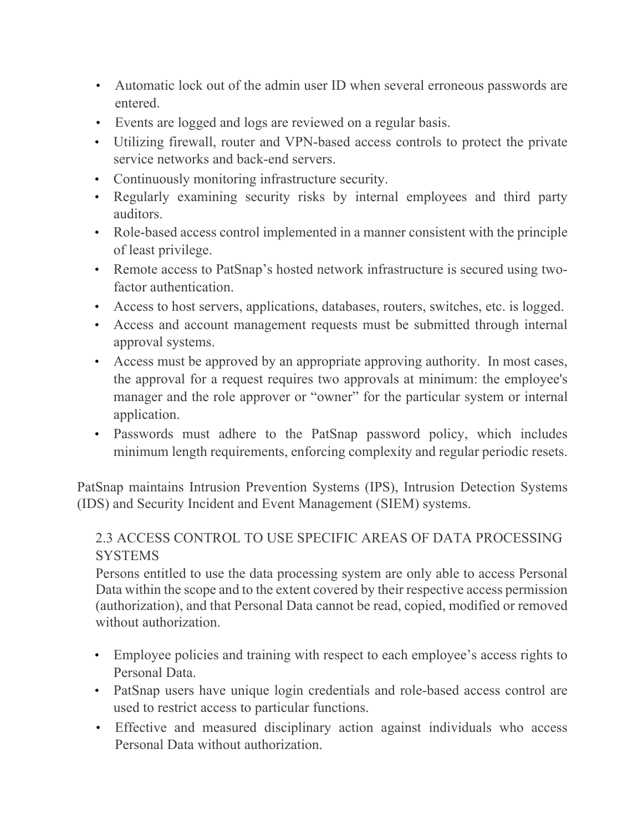- Automatic lock out of the admin user ID when several erroneous passwords are entered.
- Events are logged and logs are reviewed on a regular basis.
- Utilizing firewall, router and VPN-based access controls to protect the private service networks and back-end servers.
- Continuously monitoring infrastructure security.
- Regularly examining security risks by internal employees and third party auditors.
- Role-based access control implemented in a manner consistent with the principle of least privilege.
- Remote access to PatSnap's hosted network infrastructure is secured using twofactor authentication.
- Access to host servers, applications, databases, routers, switches, etc. is logged.
- Access and account management requests must be submitted through internal approval systems.
- Access must be approved by an appropriate approving authority. In most cases, the approval for a request requires two approvals at minimum: the employee's manager and the role approver or "owner" for the particular system or internal application.
- Passwords must adhere to the PatSnap password policy, which includes minimum length requirements, enforcing complexity and regular periodic resets.

PatSnap maintains Intrusion Prevention Systems (IPS), Intrusion Detection Systems (IDS) and Security Incident and Event Management (SIEM) systems.

## 2.3 ACCESS CONTROL TO USE SPECIFIC AREAS OF DATA PROCESSING **SYSTEMS**

Persons entitled to use the data processing system are only able to access Personal Data within the scope and to the extent covered by their respective access permission (authorization), and that Personal Data cannot be read, copied, modified or removed without authorization.

- Employee policies and training with respect to each employee's access rights to Personal Data.
- PatSnap users have unique login credentials and role-based access control are used to restrict access to particular functions.
- Effective and measured disciplinary action against individuals who access Personal Data without authorization.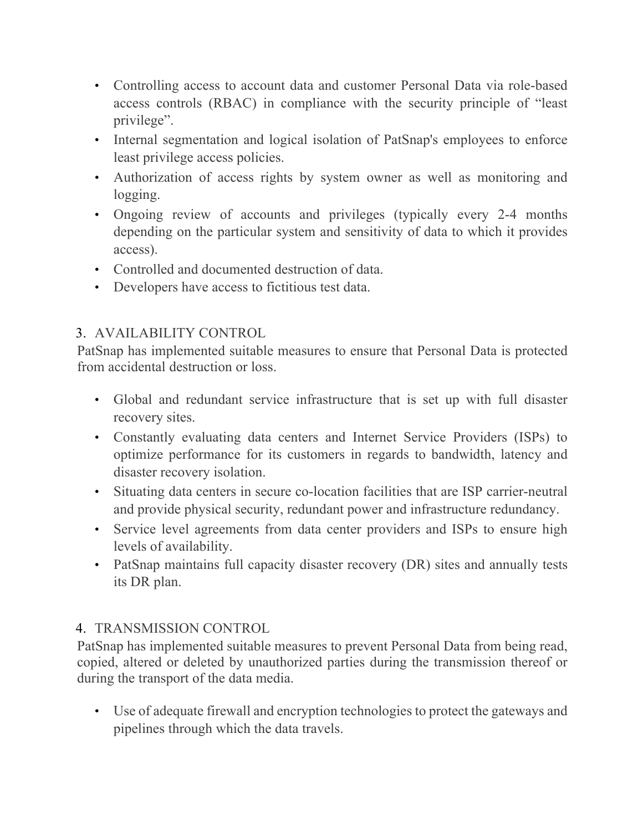- Controlling access to account data and customer Personal Data via role-based access controls (RBAC) in compliance with the security principle of "least privilege".
- Internal segmentation and logical isolation of PatSnap's employees to enforce least privilege access policies.
- Authorization of access rights by system owner as well as monitoring and logging.
- Ongoing review of accounts and privileges (typically every 2-4 months depending on the particular system and sensitivity of data to which it provides access).
- Controlled and documented destruction of data.
- Developers have access to fictitious test data.

# 3. AVAILABILITY CONTROL

PatSnap has implemented suitable measures to ensure that Personal Data is protected from accidental destruction or loss.

- Global and redundant service infrastructure that is set up with full disaster recovery sites.
- Constantly evaluating data centers and Internet Service Providers (ISPs) to optimize performance for its customers in regards to bandwidth, latency and disaster recovery isolation.
- Situating data centers in secure co-location facilities that are ISP carrier-neutral and provide physical security, redundant power and infrastructure redundancy.
- Service level agreements from data center providers and ISPs to ensure high levels of availability.
- PatSnap maintains full capacity disaster recovery (DR) sites and annually tests its DR plan.

# 4. TRANSMISSION CONTROL

PatSnap has implemented suitable measures to prevent Personal Data from being read, copied, altered or deleted by unauthorized parties during the transmission thereof or during the transport of the data media.

• Use of adequate firewall and encryption technologies to protect the gateways and pipelines through which the data travels.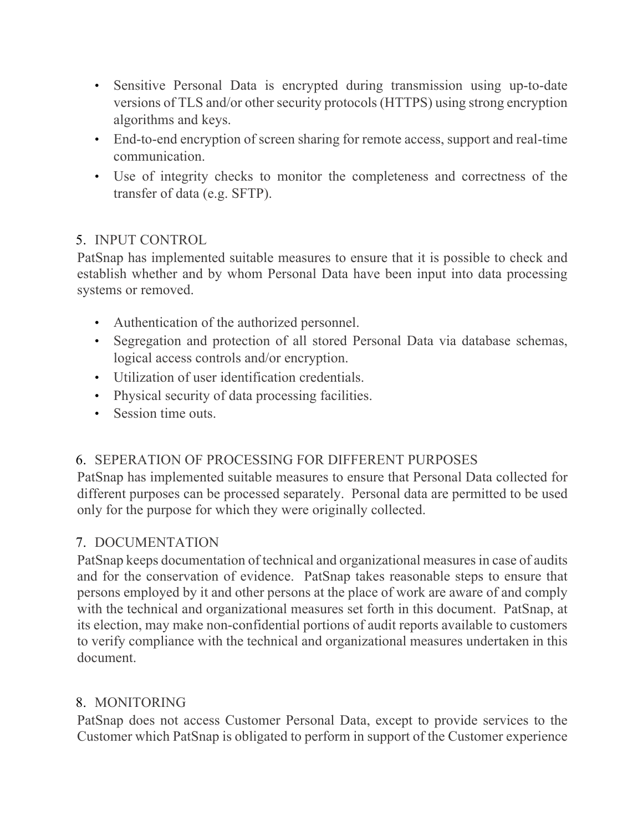- Sensitive Personal Data is encrypted during transmission using up-to-date versions of TLS and/or other security protocols (HTTPS) using strong encryption algorithms and keys.
- End-to-end encryption of screen sharing for remote access, support and real-time communication.
- Use of integrity checks to monitor the completeness and correctness of the transfer of data (e.g. SFTP).

# 5. INPUT CONTROL

PatSnap has implemented suitable measures to ensure that it is possible to check and establish whether and by whom Personal Data have been input into data processing systems or removed.

- Authentication of the authorized personnel.
- Segregation and protection of all stored Personal Data via database schemas, logical access controls and/or encryption.
- Utilization of user identification credentials.
- Physical security of data processing facilities.
- Session time outs.

### 6. SEPERATION OF PROCESSING FOR DIFFERENT PURPOSES

PatSnap has implemented suitable measures to ensure that Personal Data collected for different purposes can be processed separately. Personal data are permitted to be used only for the purpose for which they were originally collected.

### 7. DOCUMENTATION

PatSnap keeps documentation of technical and organizational measures in case of audits and for the conservation of evidence. PatSnap takes reasonable steps to ensure that persons employed by it and other persons at the place of work are aware of and comply with the technical and organizational measures set forth in this document. PatSnap, at its election, may make non-confidential portions of audit reports available to customers to verify compliance with the technical and organizational measures undertaken in this document.

# 8. MONITORING

PatSnap does not access Customer Personal Data, except to provide services to the Customer which PatSnap is obligated to perform in support of the Customer experience